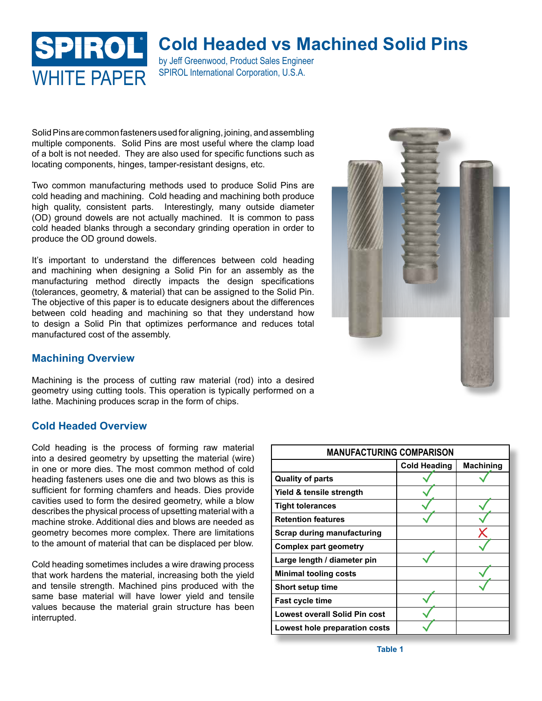# SPIROL WHITF PAPFR SPIROL International Corporation, U.S.A.

# **Cold Headed vs Machined Solid Pins**

by Jeff Greenwood, Product Sales Engineer

Solid Pins are common fasteners used for aligning, joining, and assembling multiple components. Solid Pins are most useful where the clamp load of a bolt is not needed. They are also used for specific functions such as locating components, hinges, tamper-resistant designs, etc.

Two common manufacturing methods used to produce Solid Pins are cold heading and machining. Cold heading and machining both produce high quality, consistent parts. Interestingly, many outside diameter (OD) ground dowels are not actually machined. It is common to pass cold headed blanks through a secondary grinding operation in order to produce the OD ground dowels.

It's important to understand the differences between cold heading and machining when designing a Solid Pin for an assembly as the manufacturing method directly impacts the design specifications (tolerances, geometry, & material) that can be assigned to the Solid Pin. The objective of this paper is to educate designers about the differences between cold heading and machining so that they understand how to design a Solid Pin that optimizes performance and reduces total manufactured cost of the assembly.



## **Machining Overview**

Machining is the process of cutting raw material (rod) into a desired geometry using cutting tools. This operation is typically performed on a lathe. Machining produces scrap in the form of chips.

## **Cold Headed Overview**

Cold heading is the process of forming raw material into a desired geometry by upsetting the material (wire) in one or more dies. The most common method of cold heading fasteners uses one die and two blows as this is sufficient for forming chamfers and heads. Dies provide cavities used to form the desired geometry, while a blow describes the physical process of upsetting material with a machine stroke. Additional dies and blows are needed as geometry becomes more complex. There are limitations to the amount of material that can be displaced per blow.

Cold heading sometimes includes a wire drawing process that work hardens the material, increasing both the yield and tensile strength. Machined pins produced with the same base material will have lower yield and tensile values because the material grain structure has been interrupted.

| <b>MANUFACTURING COMPARISON</b>      |                     |                  |  |
|--------------------------------------|---------------------|------------------|--|
|                                      | <b>Cold Heading</b> | <b>Machining</b> |  |
| <b>Quality of parts</b>              |                     |                  |  |
| Yield & tensile strength             |                     |                  |  |
| <b>Tight tolerances</b>              |                     |                  |  |
| <b>Retention features</b>            |                     |                  |  |
| <b>Scrap during manufacturing</b>    |                     |                  |  |
| Complex part geometry                |                     |                  |  |
| Large length / diameter pin          |                     |                  |  |
| <b>Minimal tooling costs</b>         |                     |                  |  |
| <b>Short setup time</b>              |                     |                  |  |
| <b>Fast cycle time</b>               |                     |                  |  |
| <b>Lowest overall Solid Pin cost</b> |                     |                  |  |
| Lowest hole preparation costs        |                     |                  |  |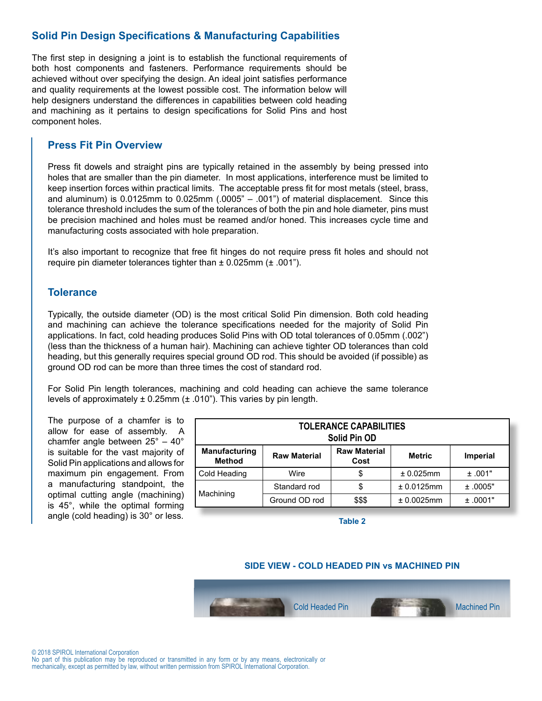## **Solid Pin Design Specifications & Manufacturing Capabilities**

The first step in designing a joint is to establish the functional requirements of both host components and fasteners. Performance requirements should be achieved without over specifying the design. An ideal joint satisfies performance and quality requirements at the lowest possible cost. The information below will help designers understand the differences in capabilities between cold heading and machining as it pertains to design specifications for Solid Pins and host component holes.

## **Press Fit Pin Overview**

Press fit dowels and straight pins are typically retained in the assembly by being pressed into holes that are smaller than the pin diameter. In most applications, interference must be limited to keep insertion forces within practical limits. The acceptable press fit for most metals (steel, brass, and aluminum) is  $0.0125$ mm to  $0.025$ mm  $(.0005" - .001")$  of material displacement. Since this tolerance threshold includes the sum of the tolerances of both the pin and hole diameter, pins must be precision machined and holes must be reamed and/or honed. This increases cycle time and manufacturing costs associated with hole preparation.

It's also important to recognize that free fit hinges do not require press fit holes and should not require pin diameter tolerances tighter than  $\pm$  0.025mm ( $\pm$  .001").

## **Tolerance**

Typically, the outside diameter (OD) is the most critical Solid Pin dimension. Both cold heading and machining can achieve the tolerance specifications needed for the majority of Solid Pin applications. In fact, cold heading produces Solid Pins with OD total tolerances of 0.05mm (.002") (less than the thickness of a human hair). Machining can achieve tighter OD tolerances than cold heading, but this generally requires special ground OD rod. This should be avoided (if possible) as ground OD rod can be more than three times the cost of standard rod.

For Solid Pin length tolerances, machining and cold heading can achieve the same tolerance levels of approximately  $\pm$  0.25mm ( $\pm$  .010"). This varies by pin length.

The purpose of a chamfer is to allow for ease of assembly. A chamfer angle between 25° – 40° is suitable for the vast majority of Solid Pin applications and allows for maximum pin engagement. From a manufacturing standpoint, the optimal cutting angle (machining) is 45°, while the optimal forming angle (cold heading) is 30° or less.

| <b>TOLERANCE CAPABILITIES</b><br>Solid Pin OD |                     |                             |               |                 |
|-----------------------------------------------|---------------------|-----------------------------|---------------|-----------------|
| <b>Manufacturing</b><br><b>Method</b>         | <b>Raw Material</b> | <b>Raw Material</b><br>Cost | <b>Metric</b> | <b>Imperial</b> |
| Cold Heading                                  | Wire                | \$                          | ± 0.025mm     | ±.001"          |
|                                               | Standard rod        | \$                          | ± 0.0125mm    | ±.0005"         |
| Machining                                     | Ground OD rod       | \$\$\$                      | ± 0.0025mm    | ±.0001"         |

**Table 2**

## **SIDE VIEW - COLD HEADED PIN vs MACHINED PIN**

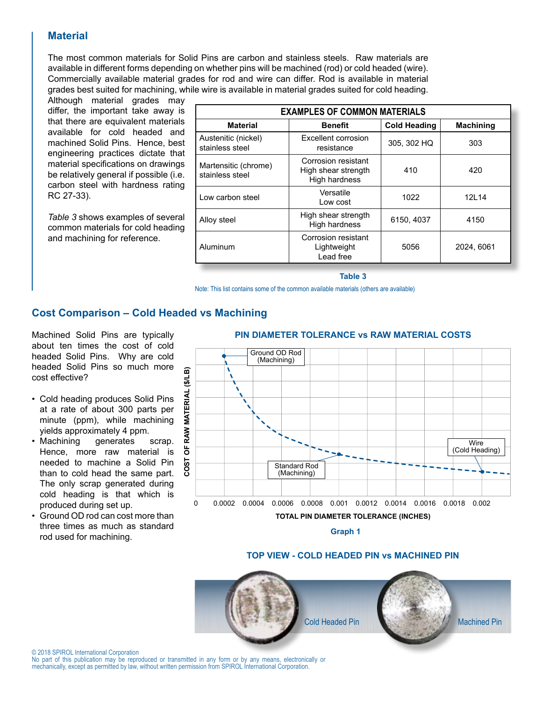## **Material**

The most common materials for Solid Pins are carbon and stainless steels. Raw materials are available in different forms depending on whether pins will be machined (rod) or cold headed (wire). Commercially available material grades for rod and wire can differ. Rod is available in material grades best suited for machining, while wire is available in material grades suited for cold heading.

Although material grades may differ, the important take away is that there are equivalent materials available for cold headed and machined Solid Pins. Hence, best engineering practices dictate that material specifications on drawings be relatively general if possible (i.e. carbon steel with hardness rating RC 27-33).

*Table 3* shows examples of several common materials for cold heading and machining for reference.

| <b>EXAMPLES OF COMMON MATERIALS</b>     |                                                             |                     |                  |  |
|-----------------------------------------|-------------------------------------------------------------|---------------------|------------------|--|
| <b>Material</b>                         | <b>Benefit</b>                                              | <b>Cold Heading</b> | <b>Machining</b> |  |
| Austenitic (nickel)<br>stainless steel  | Excellent corrosion<br>resistance                           | 305, 302 HQ         | 303              |  |
| Martensitic (chrome)<br>stainless steel | Corrosion resistant<br>High shear strength<br>High hardness | 410                 | 420              |  |
| Low carbon steel                        | Versatile<br>Low cost                                       | 1022                | 12L14            |  |
| Alloy steel                             | High shear strength<br>High hardness                        | 6150, 4037          | 4150             |  |
| Aluminum                                | Corrosion resistant<br>Lightweight<br>Lead free             | 5056                | 2024, 6061       |  |

#### **Table 3**

Note: This list contains some of the common available materials (others are available)

## **Cost Comparison – Cold Headed vs Machining**

Machined Solid Pins are typically about ten times the cost of cold headed Solid Pins. Why are cold headed Solid Pins so much more cost effective?

- Cold heading produces Solid Pins at a rate of about 300 parts per minute (ppm), while machining yields approximately 4 ppm.
- Machining generates scrap. Hence, more raw material is needed to machine a Solid Pin than to cold head the same part. The only scrap generated during cold heading is that which is produced during set up.
- Ground OD rod can cost more than three times as much as standard rod used for machining.

## **PIN DIAMETER TOLERANCE vs RAW MATERIAL COSTS**



#### **TOP VIEW - COLD HEADED PIN vs MACHINED PIN**



© 2018 SPIROL International Corporation

No part of this publication may be reproduced or transmitted in any form or by any means, electronically or mechanically, except as permitted by law, without written permission from SPIROL International Corporation.